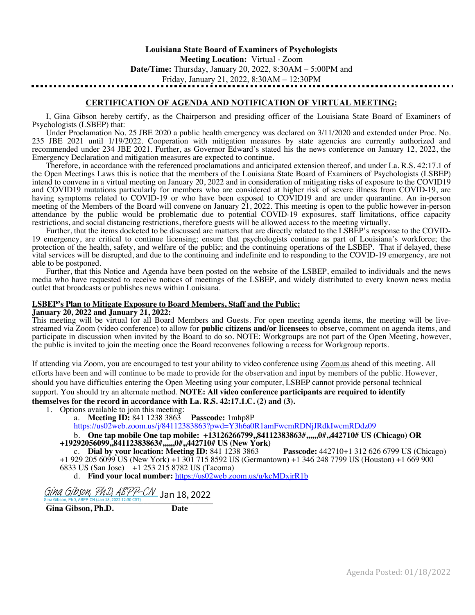**Louisiana State Board of Examiners of Psychologists Meeting Location:** Virtual - Zoom **Date/Time:** Thursday, January 20, 2022, 8:30AM – 5:00PM and Friday, January 21, 2022, 8:30AM – 12:30PM

# **CERTIFICATION OF AGENDA AND NOTIFICATION OF VIRTUAL MEETING:**

I, Gina Gibson hereby certify, as the Chairperson and presiding officer of the Louisiana State Board of Examiners of Psychologists (LSBEP) that:

Under Proclamation No. 25 JBE 2020 a public health emergency was declared on 3/11/2020 and extended under Proc. No. 235 JBE 2021 until 1/19/2022. Cooperation with mitigation measures by state agencies are currently authorized and recommended under 234 JBE 2021. Further, as Governor Edward's stated his the news conference on January 12, 2022, the Emergency Declaration and mitigation measures are expected to continue.

Therefore, in accordance with the referenced proclamations and anticipated extension thereof, and under La. R.S. 42:17.1 of the Open Meetings Laws this is notice that the members of the Louisiana State Board of Examiners of Psychologists (LSBEP) intend to convene in a virtual meeting on January 20, 2022 and in consideration of mitigating risks of exposure to the COVID19 and COVID19 mutations particularly for members who are considered at higher risk of severe illness from COVID-19, are having symptoms related to COVID-19 or who have been exposed to COVID19 and are under quarantine. An in-person meeting of the Members of the Board will convene on January 21, 2022. This meeting is open to the public however in-person attendance by the public would be problematic due to potential COVID-19 exposures, staff limitations, office capacity restrictions, and social distancing restrictions, therefore guests will be allowed access to the meeting virtually.

Further, that the items docketed to be discussed are matters that are directly related to the LSBEP's response to the COVID-19 emergency, are critical to continue licensing; ensure that psychologists continue as part of Louisiana's workforce; the protection of the health, safety, and welfare of the public; and the continuing operations of the LSBEP. That if delayed, these vital services will be disrupted, and due to the continuing and indefinite end to responding to the COVID-19 emergency, are not able to be postponed.

Further, that this Notice and Agenda have been posted on the website of the LSBEP, emailed to individuals and the news media who have requested to receive notices of meetings of the LSBEP, and widely distributed to every known news media outlet that broadcasts or publishes news within Louisiana.

# **LSBEP's Plan to Mitigate Exposure to Board Members, Staff and the Public:**

**January 20, 2022 and January 21, 2022:**

This meeting will be virtual for all Board Members and Guests. For open meeting agenda items, the meeting will be livestreamed via Zoom (video conference) to allow for **public citizens and/or licensees** to observe, comment on agenda items, and participate in discussion when invited by the Board to do so. NOTE: Workgroups are not part of the Open Meeting, however, the public is invited to join the meeting once the Board reconvenes following a recess for Workgroup reports.

If attending via Zoom, you are encouraged to test your ability to video conference using Zoom.us ahead of this meeting. All efforts have been and will continue to be made to provide for the observation and input by members of the public. However, should you have difficulties entering the Open Meeting using your computer, LSBEP cannot provide personal technical support. You should try an alternate method. **NOTE: All video conference participants are required to identify** 

**themselves for the record in accordance with La. R.S. 42:17.1.C. (2) and (3).**

1. Options available to join this meeting:

a. **Meeting ID:** 841 1238 3863 **Passcode:** 1mhp8P

https://us02web.zoom.us/j/84112383863?pwd=Y3h6a0R1amFwcmRDNjJRdkIwcmRDdz09

b. **One tap mobile One tap mobile: +13126266799,,84112383863#,,,,,,0#,,442710# US (Chicago) OR +19292056099,,84112383863#,,,,,,0#,,442710# US (New York)**

c. **Dial by your location: Meeting ID:** 841 1238 3863 **Passcode:** 442710+1 312 626 6799 US (Chicago) +1 929 205 6099 US (New York) +1 301 715 8592 US (Germantown) +1 346 248 7799 US (Houston) +1 669 900

6833 US (San Jose) +1 253 215 8782 US (Tacoma)d. **Find your local number:** https://us02web.zoom.us/u/kcMDxjrR1b

*[Gina Gibson, PhD, ABPP-CN](https://na1.documents.adobe.com/verifier?tx=CBJCHBCAABAAo_46Dd2NCgOgFOCLo_K38iT9rI0DRrDE)* Jan 18, 2022<br>Gina Gibson, PhD, ABPP-CN (Jan 18, 2022 12:30 CST)

**Gina Gibson, Ph.D. Date**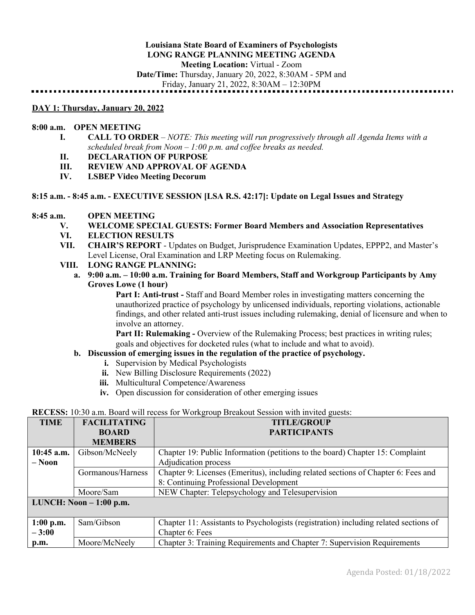Friday, January 21, 2022, 8:30AM – 12:30PM

#### **DAY 1: Thursday, January 20, 2022**

# **8:00 a.m. OPEN MEETING**

- **I. CALL TO ORDER** *NOTE: This meeting will run progressively through all Agenda Items with a scheduled break from Noon – 1:00 p.m. and coffee breaks as needed.*
- **II. DECLARATION OF PURPOSE**
- **III. REVIEW AND APPROVAL OF AGENDA**
- **IV. LSBEP Video Meeting Decorum**

# **8:15 a.m. - 8:45 a.m. - EXECUTIVE SESSION [LSA R.S. 42:17]: Update on Legal Issues and Strategy**

# **8:45 a.m. OPEN MEETING**

- **V. WELCOME SPECIAL GUESTS: Former Board Members and Association Representatives**
- **VI. ELECTION RESULTS**
- **VII. CHAIR'S REPORT** Updates on Budget, Jurisprudence Examination Updates, EPPP2, and Master's Level License, Oral Examination and LRP Meeting focus on Rulemaking.
- **VIII. LONG RANGE PLANNING:**
	- **a. 9:00 a.m. – 10:00 a.m. Training for Board Members, Staff and Workgroup Participants by Amy Groves Lowe (1 hour)**

**Part I: Anti-trust -** Staff and Board Member roles in investigating matters concerning the unauthorized practice of psychology by unlicensed individuals, reporting violations, actionable findings, and other related anti-trust issues including rulemaking, denial of licensure and when to involve an attorney.

**Part II: Rulemaking -** Overview of the Rulemaking Process; best practices in writing rules; goals and objectives for docketed rules (what to include and what to avoid).

#### **b. Discussion of emerging issues in the regulation of the practice of psychology.**

- **i.** Supervision by Medical Psychologists
- **ii.** New Billing Disclosure Requirements (2022)
- **iii.** Multicultural Competence/Awareness
- **iv.** Open discussion for consideration of other emerging issues

# **RECESS:** 10:30 a.m. Board will recess for Workgroup Breakout Session with invited guests:

| <b>TIME</b>  | <b>FACILITATING</b>      | <b>TITLE/GROUP</b>                                                                   |  |  |
|--------------|--------------------------|--------------------------------------------------------------------------------------|--|--|
|              | <b>BOARD</b>             | <b>PARTICIPANTS</b>                                                                  |  |  |
|              | <b>MEMBERS</b>           |                                                                                      |  |  |
| $10:45$ a.m. | Gibson/McNeely           | Chapter 19: Public Information (petitions to the board) Chapter 15: Complaint        |  |  |
| $-$ Noon     |                          | Adjudication process                                                                 |  |  |
|              | Gormanous/Harness        | Chapter 9: Licenses (Emeritus), including related sections of Chapter 6: Fees and    |  |  |
|              |                          | 8: Continuing Professional Development                                               |  |  |
|              | Moore/Sam                | NEW Chapter: Telepsychology and Telesupervision                                      |  |  |
|              | LUNCH: Noon $-1:00$ p.m. |                                                                                      |  |  |
|              |                          |                                                                                      |  |  |
| $1:00$ p.m.  | Sam/Gibson               | Chapter 11: Assistants to Psychologists (registration) including related sections of |  |  |
| $-3:00$      |                          | Chapter 6: Fees                                                                      |  |  |
| p.m.         | Moore/McNeely            | Chapter 3: Training Requirements and Chapter 7: Supervision Requirements             |  |  |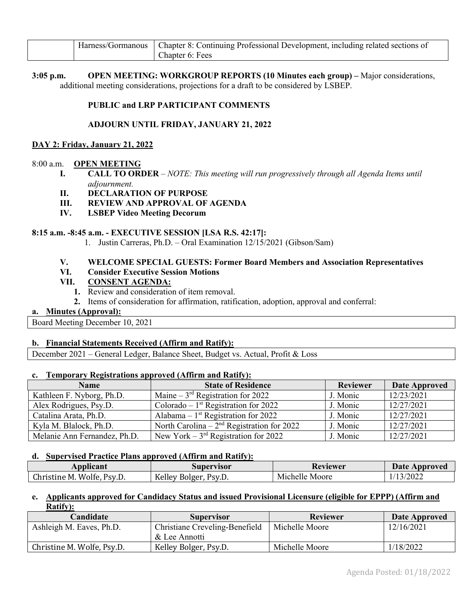|  | Harness/Gormanous   Chapter 8: Continuing Professional Development, including related sections of |
|--|---------------------------------------------------------------------------------------------------|
|  | Chapter 6: Fees                                                                                   |

**3:05 p.m. OPEN MEETING: WORKGROUP REPORTS (10 Minutes each group) –** Major considerations, additional meeting considerations, projections for a draft to be considered by LSBEP.

# **PUBLIC and LRP PARTICIPANT COMMENTS**

# **ADJOURN UNTIL FRIDAY, JANUARY 21, 2022**

# **DAY 2: Friday, January 21, 2022**

# 8:00 a.m. **OPEN MEETING**

- **I. CALL TO ORDER** *NOTE: This meeting will run progressively through all Agenda Items until adjournment.*
- **II. DECLARATION OF PURPOSE**
- **III. REVIEW AND APPROVAL OF AGENDA**
- **IV. LSBEP Video Meeting Decorum**

# **8:15 a.m. -8:45 a.m. - EXECUTIVE SESSION [LSA R.S. 42:17]:**

1. Justin Carreras, Ph.D. – Oral Examination 12/15/2021 (Gibson/Sam)

# **V. WELCOME SPECIAL GUESTS: Former Board Members and Association Representatives**

# **VI. Consider Executive Session Motions**

# **VII. CONSENT AGENDA:**

- **1.** Review and consideration of item removal.
- **2.** Items of consideration for affirmation, ratification, adoption, approval and conferral:

# **a. Minutes (Approval):**

Board Meeting December 10, 2021

# **b. Financial Statements Received (Affirm and Ratify):**

December 2021 – General Ledger, Balance Sheet, Budget vs. Actual, Profit & Loss

#### **c. Temporary Registrations approved (Affirm and Ratify):**

| <b>Name</b>                  | <b>State of Residence</b>                    | <b>Reviewer</b> | <b>Date Approved</b> |
|------------------------------|----------------------------------------------|-----------------|----------------------|
| Kathleen F. Nyborg, Ph.D.    | Maine $-3^{rd}$ Registration for 2022        | J. Monic        | 12/23/2021           |
| Alex Rodrigues, Psy.D.       | Colorado – $1st$ Registration for 2022       | J. Monic        | 12/27/2021           |
| Catalina Arata, Ph.D.        | Alabama – $1st$ Registration for 2022        | J. Monic        | 12/27/2021           |
| Kyla M. Blalock, Ph.D.       | North Carolina – $2nd$ Registration for 2022 | J. Monic        | 12/27/2021           |
| Melanie Ann Fernandez, Ph.D. | New York $-3^{rd}$ Registration for 2022     | J. Monic        | 12/27/2021           |

#### **d. Supervised Practice Plans approved (Affirm and Ratify):**

| Applicant                     | Supervisor                  | Reviewer            | <b>Date Approved</b> |
|-------------------------------|-----------------------------|---------------------|----------------------|
| Christine M.<br>Wolfe, Psy.D. | Kelley<br>Psv.D.<br>-Bolger | Michelle i<br>Moore | 13/2022              |

# **e. Applicants approved for Candidacy Status and issued Provisional Licensure (eligible for EPPP) (Affirm and Ratify):**

| Candidate                  | <b>Supervisor</b>                                | <b>Reviewer</b> | Date Approved |
|----------------------------|--------------------------------------------------|-----------------|---------------|
| Ashleigh M. Eaves, Ph.D.   | Christiane Creveling-Benefield<br>Michelle Moore |                 | 12/16/2021    |
|                            | & Lee Annotti                                    |                 |               |
| Christine M. Wolfe, Psy.D. | Kelley Bolger, Psy.D.                            | Michelle Moore  | 1/18/2022     |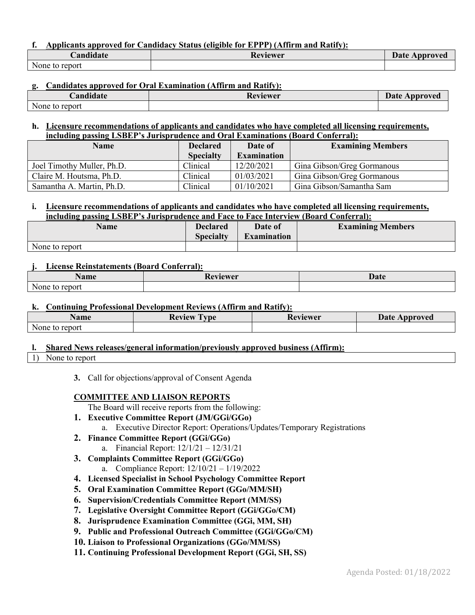# **f. Applicants approved for Candidacy Status (eligible for EPPP) (Affirm and Ratify):**

| $\cdots$<br><i>C</i> andidate | Reviewer | Date<br>Approved |
|-------------------------------|----------|------------------|
| None to report                |          |                  |

# **g. Candidates approved for Oral Examination (Affirm and Ratify):**

| $\blacksquare$                    | keviewer | Date     |
|-----------------------------------|----------|----------|
| andidate:/                        | $\sim$   | Approved |
| $\mathbf{r}$<br>None to<br>report |          |          |

# **h. Licensure recommendations of applicants and candidates who have completed all licensing requirements, including passing LSBEP's Jurisprudence and Oral Examinations (Board Conferral):**

| <b>Name</b>                | <b>Declared</b><br>Date of |                    | <b>Examining Members</b>   |  |
|----------------------------|----------------------------|--------------------|----------------------------|--|
|                            | <b>Specialty</b>           | <b>Examination</b> |                            |  |
| Joel Timothy Muller, Ph.D. | Clinical                   | 12/20/2021         | Gina Gibson/Greg Gormanous |  |
| Claire M. Houtsma, Ph.D.   | Clinical                   | 01/03/2021         | Gina Gibson/Greg Gormanous |  |
| Samantha A. Martin, Ph.D.  | Clinical                   | 01/10/2021         | Gina Gibson/Samantha Sam   |  |

#### **i. Licensure recommendations of applicants and candidates who have completed all licensing requirements, including passing LSBEP's Jurisprudence and Face to Face Interview (Board Conferral):**

| Name           | <b>Declared</b>  | Date of            | <b>Examining Members</b> |
|----------------|------------------|--------------------|--------------------------|
|                | <b>Specialty</b> | <b>Examination</b> |                          |
| None to report |                  |                    |                          |

# **j. License Reinstatements (Board Conferral):**

| $\blacksquare$<br>Name         | $\blacksquare$<br>Keviewer<br>174 | Date |
|--------------------------------|-----------------------------------|------|
| $\mathbf{r}$<br>report<br>None |                                   |      |

# **k. Continuing Professional Development Reviews (Affirm and Ratify):**

| Name                     | Review<br>vne<br>Reviewer |  | <b>Date</b><br>Approved |
|--------------------------|---------------------------|--|-------------------------|
| $\sim$<br>None to report |                           |  |                         |

# **l. Shared News releases/general information/previously approved business (Affirm):**

#### 1) None to report

**3.** Call for objections/approval of Consent Agenda

# **COMMITTEE AND LIAISON REPORTS**

The Board will receive reports from the following:

- **1. Executive Committee Report (JM/GGi/GGo)**
	- a. Executive Director Report: Operations/Updates/Temporary Registrations
- **2. Finance Committee Report (GGi/GGo)**
	- a. Financial Report: 12/1/21 12/31/21
- **3. Complaints Committee Report (GGi/GGo)**
	- a. Compliance Report: 12/10/21 1/19/2022
- **4. Licensed Specialist in School Psychology Committee Report**
- **5. Oral Examination Committee Report (GGo/MM/SH)**
- **6. Supervision/Credentials Committee Report (MM/SS)**
- **7. Legislative Oversight Committee Report (GGi/GGo/CM)**
- **8. Jurisprudence Examination Committee (GGi, MM, SH)**
- **9. Public and Professional Outreach Committee (GGi/GGo/CM)**
- **10. Liaison to Professional Organizations (GGo/MM/SS)**
- **11. Continuing Professional Development Report (GGi, SH, SS)**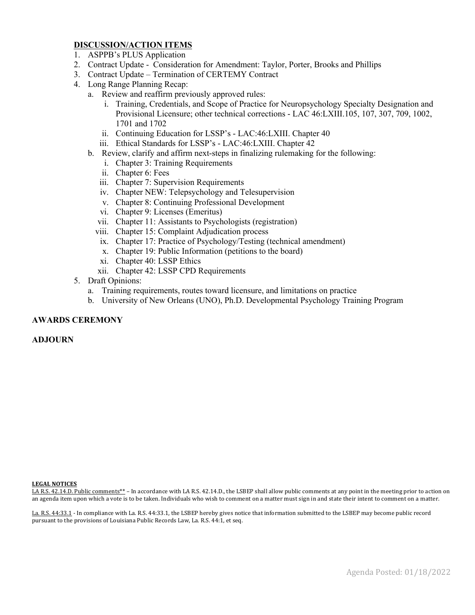# **DISCUSSION/ACTION ITEMS**

- 1. ASPPB's PLUS Application
- 2. Contract Update Consideration for Amendment: Taylor, Porter, Brooks and Phillips
- 3. Contract Update Termination of CERTEMY Contract
- 4. Long Range Planning Recap:
	- a. Review and reaffirm previously approved rules:
		- i. Training, Credentials, and Scope of Practice for Neuropsychology Specialty Designation and Provisional Licensure; other technical corrections - LAC 46:LXIII.105, 107, 307, 709, 1002, 1701 and 1702
		- ii. Continuing Education for LSSP's LAC:46:LXIII. Chapter 40
		- iii. Ethical Standards for LSSP's LAC:46:LXIII. Chapter 42
	- b. Review, clarify and affirm next-steps in finalizing rulemaking for the following:
		- i. Chapter 3: Training Requirements
		- ii. Chapter 6: Fees
		- iii. Chapter 7: Supervision Requirements
		- iv. Chapter NEW: Telepsychology and Telesupervision
		- v. Chapter 8: Continuing Professional Development
		- vi. Chapter 9: Licenses (Emeritus)
		- vii. Chapter 11: Assistants to Psychologists (registration)
		- viii. Chapter 15: Complaint Adjudication process
		- ix. Chapter 17: Practice of Psychology/Testing (technical amendment)
		- x. Chapter 19: Public Information (petitions to the board)
		- xi. Chapter 40: LSSP Ethics
		- xii. Chapter 42: LSSP CPD Requirements
- 5. Draft Opinions:
	- a. Training requirements, routes toward licensure, and limitations on practice
	- b. University of New Orleans (UNO), Ph.D. Developmental Psychology Training Program

# **AWARDS CEREMONY**

**ADJOURN**

#### **LEGAL NOTICES**

LA R.S. 42.14.D. Public comments\*\* – In accordance with LA R.S. 42.14.D., the LSBEP shall allow public comments at any point in the meeting prior to action on an agenda item upon which a vote is to be taken. Individuals who wish to comment on a matter must sign in and state their intent to comment on a matter.

La. R.S. 44:33.1 - In compliance with La. R.S. 44:33.1, the LSBEP hereby gives notice that information submitted to the LSBEP may become public record pursuant to the provisions of Louisiana Public Records Law, La. R.S. 44:1, et seq.